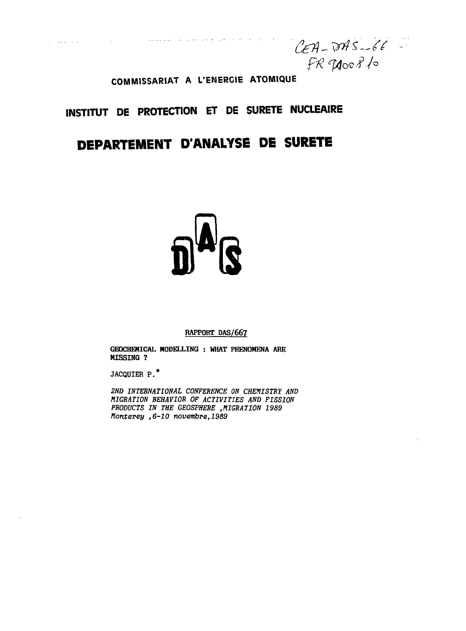$CEA$ -DAS-66  $FR$  Thoof 10

## **COMMISSARIAT A L'ENERGIE ATOMIQUE**

, where  $\mu$  is  $\mu$  , we can be the set of  $\lambda$ 

 $\varphi$  . Then  $\varphi$  is a set of

 $\sim$   $\sim$ 

# **INSTITUT DE PROTECTION ET DE SURETE NUCLEAIRE**

# **DEPARTEMENT D'ANALYSE DE SURETE**

#### **RAPPORT DAS/667**

**GEOCHEHICAL MODELLING : WHAT PHENOMENA ARE MISSING ?**

**JACQUIER P.\***

2ND INTERNATIONAL CONFERENCE ON CHEMISTRY AND MIGRATION BEHAVIOR OF ACTIVITIES AND FISSION PRODUCTS IN THE GEOSPHERE , MIGRATION 1989 Monterey ,6-10 novembre, 1989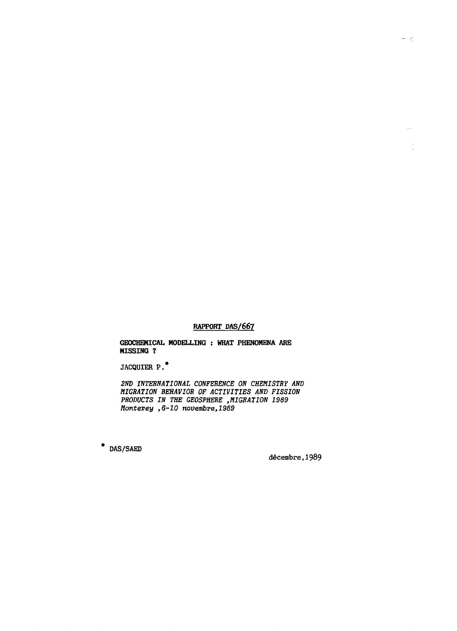#### **RAPPORT DAS/667**

**GEOCHEHICAL HODELLING : WHAT PHENOMENA ARE HISSING ?**

**JACQUIER P. \***

2ND INTERNATIONAL CONFERENCE ON CHEMISTRY AND MIGRATION BEHAVIOR OF ACTIVITIES AND FISSION PRODUCTS IN THE GEOSPHERE ,MIGRATION 1989 Monterey ,6-10 novembre,1989

\* DAS/SAED

décembre,1989

 $\bar{\mathbb{Z}}$ 

 $\frac{1}{2}$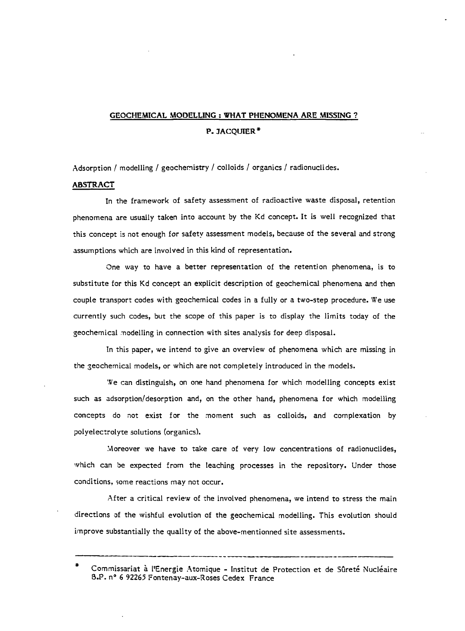## **GEOCHEMICAL MODELLING : WHAT PHENOMENA ARE MISSING** ? **P. JACQUIER\***

Adsorption / modelling / geochemistry / colloids / organics / radionuclides.

#### **ABSTRACT**

In the framework of safety assessment of radioactive waste disposal, retention phenomena are usually taken into account by the Kd concept. It is well recognized that this concept is not enough for safety assessment models, because of the several and strong assumptions which are involved in this kind of representation.

One way to have a better representation of the retention phenomena, is to substitute for this Kd concept an explicit description of geochemical phenomena and then couple transport codes with geochemical codes in a fully or a two-step procedure. We use currently such codes, but the scope of this paper is to display the limits today of the geochemical modelling in connection with sites analysis for deep disposal.

In this paper, we intend to give an overview of phenomena which are missing in the geochemical models, or which are not completely introduced in the models.

'.Ve can distinguish, on one hand phenomena for which modelling concepts exist such as adsorption/desorption and, on the other hand, phenomena for which modelling concepts do not exist for the moment such as colloids, and complexation by polyelectrolyte solutions (organics).

.Moreover we have to take care of very low concentrations of radionuclides, which can be expected from the leaching processes in the repository. Under those conditions, some reactions may not occur.

After a critical review of the involved phenomena, we intend to stress the main directions of the wishful evolution of the geochemical modelling. This evolution should improve substantially the quality of the above-mentionned site assessments.

Commissariat à l'Energie Atomique - Institut de Protection et de Sûreté Nucléaire B.P. nº 6 92265 Fontenay-aux-Roses Cedex France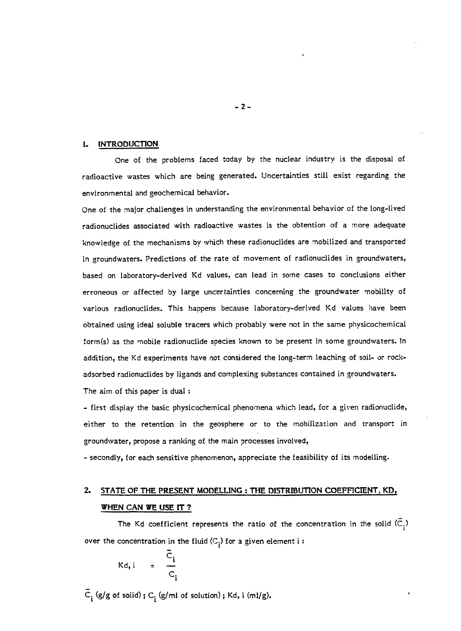#### **1. INTRODUCTION**

One of the problems faced today by the nuclear industry is the disposal of radioactive wastes which are being generated. Uncertainties still exist regarding the environmental and geochemical behavior.

One of the major challenges in understanding the environmental behavior of the long-lived radionuclides associated with radioactive wastes is the obtention of a more adequate knowledge of the mechanisms by which these radionuclides are mobilized and transported in groundwaters. Predictions of the rate of movement of radionuclides in groundwaters, based on laboratory-derived Kd values, can lead in some cases to conclusions either erroneous or affected by large uncertainties concerning the groundwater mobility of various radionuclides. This happens because laboratory-derived Kd values have been obtained using ideal soluble tracers which probably were not in the same physicochemical form(s) as the mobile radionuclide species known to be present in some groundwaters. In addition, the Kd experiments have not considered the long-term leaching of soil- or rockadsorbed radionuclides by ligands and complexing substances contained in groundwaters.

The aim of this paper is dual :

- first display the basic physicochemical phenomena which lead, for a given radionuclide, either to the retention in the geosphere or to the mobilization and transport in groundwater, propose a ranking of the main processes involved,

- secondly, for each sensitive phenomenon, appreciate the feasibility of its modelling.

## **2. STATE OF THE PRESENT MODELLING : THE DISTRIBUTION COEFFICIENT, KD, WHEN CAN WE USE tT ?**

The Kd coefficient represents the ratio of the concentration in the solid  $(\overline{C}_i)$ over the concentration in the fluid  $(C_i)$  for a given element i:

$$
Kd, i = \frac{\overline{C}_i}{C_i}
$$

 $\overline{C}_i$  (g/g of solid) ;  $C_i$  (g/ml of solution) ; Kd, i (ml/g).

**- 2 -**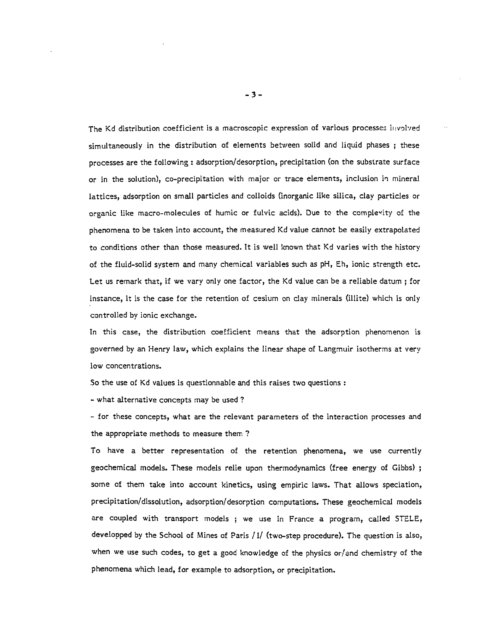The Kd distribution coefficient is a macroscopic expression of various processes Involved simultaneously in the distribution of elements between solid and liquid phases ; these processes are the following : adsorption/desorption, precipitation (on the substrate surface or in the solution), co-precipitation with major or trace elements, inclusion in mineral lattices, adsorption on small particles and colloids (inorganic like silica, clay particles or organic like macro-molecules of humic or fulvic acids). Due to the complexity of the phenomena to be taken into account, the measured Kd value cannot be easily extrapolated to conditions other than those measured. It is well known that Kd varies with the history of the fluid-solid system and many chemical variables such as pH, Eh, ionic strength etc. Let us remark that, if we vary only one factor, the Kd value can be a reliable datum ; for instance, it is the case for the retention of cesium on day minerals (illite) which is only controlled by ionic exchange.

In this case, the distribution coefficient means that the adsorption phenomenon is governed by an Henry law, which explains the linear shape of Langmuir isotherms at very low concentrations.

So the use of Kd values is questionnable and this raises two questions :

- what alternative concepts may be used ?

- for these concepts, what are the relevant parameters of the interaction processes and the appropriate methods to measure them ?

To have a better representation of the retention phenomena, we use currently geochemical models. These models relie upon thermodynamics (free energy of Gibbs) ; some of them take into account kinetics, using empiric laws. That allows speciation, precipitation/dissolution, adsorption/desorption computations. These geochemical models are coupled with transport models ; we use in France a program, called STELE, developped by the School of Mines of Paris / 1/ (two-step procedure). The question is also, when we use such codes, to get a good knowledge of the physics or/and chemistry of the phenomena which lead, for example to adsorption, or precipitation.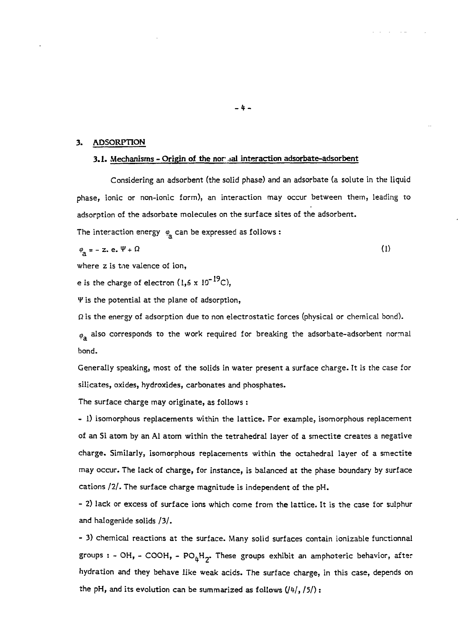#### **3. ADSORPTION**

#### **3.1. Mechanisms - Origin of the nor ,ial interaction adsorbate-adsorbent**

Considering an adsorbent (the solid phase) and an adsorbate (a solute in the liquid phase, ionic or non-ionic form), an interaction may occur between them, leading to adsorption of the adsorbate molecules on the surface sites of the adsorbent.

The interaction energy  $\varphi$  can be expressed as follows :

$$
\varphi_{\mathcal{A}} = - \mathbf{z} \cdot \mathbf{e} \cdot \Psi + \Omega \tag{1}
$$

where z is tne valence of ion,

e is the charge of electron  $(1,6 \times 10^{-19}C)$ ,

*V* is the potential at the plane of adsorption,

*Q* is the energy of adsorption due to non electrostatic forces (physical or chemical bond).

 $\varphi$  also corresponds to the work required for breaking the adsorbate-adsorbent normal bond.

Generally speaking, most of the solids in water present a surface charge. It is the case for silicates, oxides, hydroxides, carbonates and phosphates.

The surface charge may originate, as follows :

- 1) isomorphous replacements within the lattice. For example, isomorphous replacement of an Si atom by an Al atom within the tetrahedral layer of a smectite creates a negative charge. Similarly, isomorphous replacements within the octahedral layer of a smectite may occur. The lack of charge, for instance, is balanced at the phase boundary by surface cations /2/. The surface charge magnitude is independent of the pH.

- 2) lack or excess of surface ions which come from the lattice. It is the case for sulphur and halogenide solids /3/.

- 3) chemical reactions at the surface. Many solid surfaces contain ionizable functionnal groups : - OH, - COOH, - PO $_{h}H_{2}$ . These groups exhibit an amphoteric behavior, after hydration and they behave like weak acids. The surface charge, in this case, depends on the pH, and its evolution can be summarized as follows  $(l4l, l5l)$ :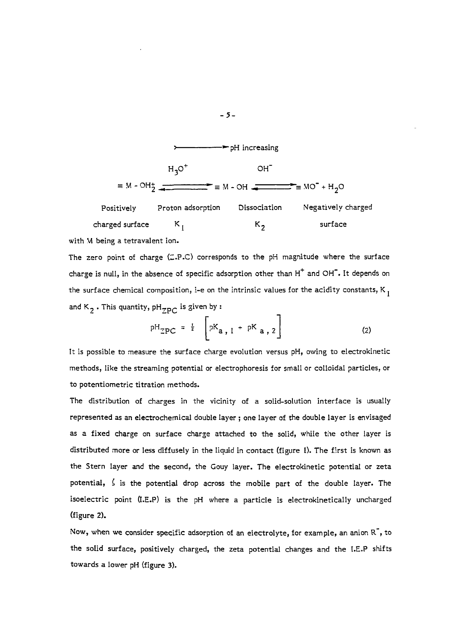

with M being a tetravalent ion.

The zero point of charge  $(2.P.C)$  corresponds to the pH magnitude where the surface charge is null, in the absence of specific adsorption other than  $H^+$  and OH $^-$ . It depends on the surface chemical composition, i-e on the intrinsic values for the acidity constants, K  $_{\rm I}$ and  $K_2$ . This quantity,  $pH_{7p}$  is given by :

$$
{}^{pH}_{ZPC} = \frac{1}{2} \left[ {}^{pK}a, 1 + {}^{pK}a, 2 \right]
$$
 (2)

It is possible to measure the surface charge evolution versus pH, owing to electrokinetic methods, like the streaming potential or electrophoresis for small or colloidal particles, or to potentiometric titration methods.

The distribution of charges in the vicinity of a solid-solution interface is usually represented as an electrochemical double layer ; one layer of the double layer is envisaged as a fixed charge on surface charge attached to the solid, while the other layer is distributed more or less diffusely in the liquid in contact (figure 1). The first is known as the Stern layer and the second, the Gouy layer. The electrokinetic potential or zeta potential,  $\zeta$  is the potential drop across the mobile part of the double layer. The isoelectric point Q.E.P) is the pH where a particle is electrokinetically uncharged (figure 2).

Now, when we consider specific adsorption of an electrolyte, for example, an anion  $\mathbb{R}^7$ , to the solid surface, positively charged, the zeta potential changes and the I.E.P shifts towards a lower pH (figure 3).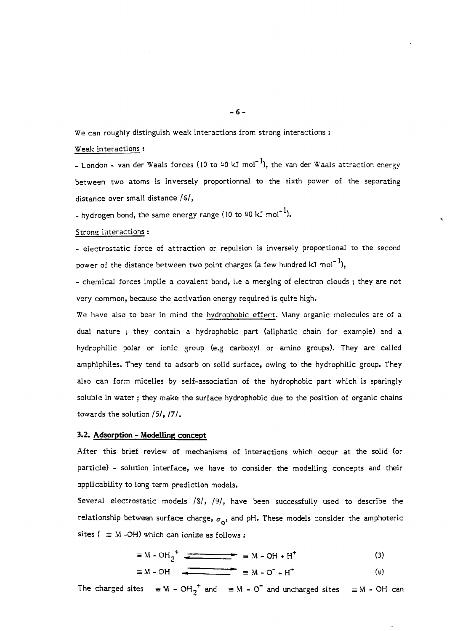We can roughly distinguish weak interactions from strong interactions :

#### Weak interactions :

- London - van der Waals forces (10 to 40 kJ mol<sup>-1</sup>), the van der Waals attraction energy between two atoms is inversely proportionnai to the sixth power of the separating distance over small distance /6/,

- hydrogen bond, the same energy range (10 to 40 kJ mol $^{\text{-}1}$ ).

#### Strong interactions :

- electrostatic force of attraction or repulsion is inversely proportional to the second power of the distance between two point charges (a few hundred kJ  $\text{mol}^{-1}$ ),

- chemical forces implie a covalent bond, i.e a merging of electron clouds ; they are not very common, because the activation energy required is quite high.

We have also to bear in mind the hydrophobic effect. Many organic molecules are of a dual nature ; they contain a hydrophobic part (aliphatic chain for example) and a hydrophilic polar or ionic group (e.g carboxyl or amino groups). They are called amphiphiles. They tend to adsorb on solid surface, owing to the hydrophilic group. They also can form micelles by self-association of the hydrophobic part which is sparingly soluble in water ; they make the surface hydrophobic due to the position of organic chains towards the solution /5/, /7/.

#### **3.2. Adsorption - Modelling concept**

After this brief review of mechanisms of interactions which occur at the solid (or particle) - solution interface, we have to consider the modelling concepts and their applicability to long term prediction models.

Several electrostatic models /S/, /9/, have been successfully used to describe the relationship between surface charge,  $\sigma_{\alpha}$ , and pH. These models consider the amphoteric sites (  $\equiv$  M -OH) which can ionize as follows :

$$
\equiv M - OH_2^+ \quad \text{(3)}
$$

$$
\equiv M - OH \qquad \qquad \equiv M - O^- + H^+ \tag{4}
$$

The charged sites  $\equiv$  M - OH<sub>2</sub><sup>+</sup> and  $\equiv$  M - O<sup>-</sup> and uncharged sites  $\equiv$  M - OH can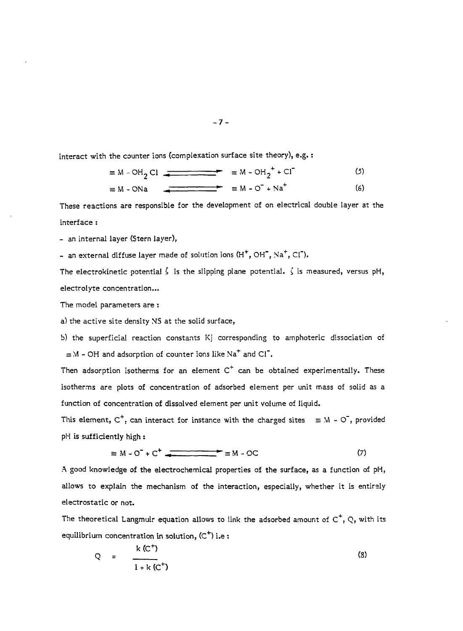interact with the counter ions (complexation surface site theory), e.g. :

$$
\equiv M - OH_2 Cl
$$
 
$$
\equiv M - OH_2^+ + Cl^-(5)
$$

$$
\equiv M - ONa \qquad \qquad \equiv M - O^{-} + Na^{+} \qquad (6)
$$

These reactions are responsible for the development of on electrical double layer at the interface :

- an internal layer (Stern layer),

- an external diffuse layer made of solution ions (H<sup>+</sup>, OH<sup>-</sup>, Na<sup>+</sup>, Cl<sup>-</sup>).

The electrokinetic potential  $\zeta$  is the slipping plane potential.  $\zeta$  is measured, versus pH, electrolyte concentration...

The model parameters are :

a) the active site density NS at the solid surface,

b) the superficial reaction constants Kj corresponding to amphoteric dissociation of  $\equiv$  M – OH and adsorption of counter ions like Na $^+$  and Cl $^-$ .

Then adsorption isotherms for an element  $\texttt{C}^{\texttt{+}}$  can be obtained experimentally. These isotherms are plots of concentration of adsorbed element per unit mass of solid as a function of concentration of dissolved element per unit volume of liquid.

This element,  $C^+$ , can interact for instance with the charged sites = M -  $\circlearrowleft$  , provided pH is sufficiently high :

$$
\equiv M - O^{-} + C^{+}
$$

A good knowledge of the electrochemical properties of the surface, as a function of pH, allows to explain the mechanism of the interaction, especially, whether it is entirely electrostatic or not.

The theoretical Langmuir equation allows to link the adsorbed amount of  $\texttt{C}^+ , \texttt{Q} ,$  with its equilibrium concentration in solution, (C<sup>+</sup>) i.e :

$$
Q = \frac{k (C^+)}{1 + k (C^+)}
$$
 (8)

$$
-7 -
$$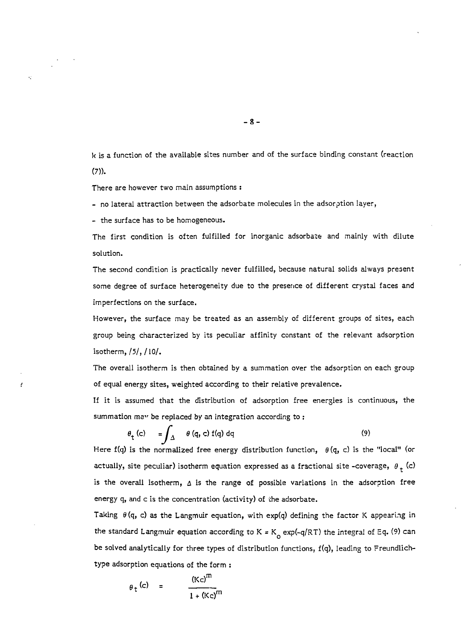k is a function of the available sites number and of the surface binding constant (reaction  $(7)$ ).

There are however two main assumptions :

- no lateral attraction between the adsorbate molecules in the adsorption layer,

- the surface has to be homogeneous.

k)

J

The first condition is often fulfilled for inorganic adsorbate and mainly with dilute solution.

The second condition is practically never fulfilled, because natural solids always present some degree of surface heterogeneity due to the presence of different crystal faces and imperfections on the surface.

However, the surface may be treated as an assembly of different groups of sites, each group being characterized by its peculiar affinity constant of the relevant adsorption isotherm, /5/, /10/.

The overall isotherm is then obtained by a summation over the adsorption on each group of equal energy sites, weighted according to their relative prevalence.

If it is assumed that the distribution of adsorption free energies is continuous, the summation may be replaced by an integration according to:

$$
\theta_{t} (c) = \int_{\Delta} \theta (q, c) f(q) dq
$$
 (9)

Here f(q) is the normalized free energy distribution function,  $\theta$ (q, c) is the "local" (or actually, site peculiar) isotherm equation expressed as a fractional site -coverage,  $\theta_+$  (c) is the overall isotherm,  $\Delta$  is the range of possible variations in the adsorption free energy q, and c is the concentration (activity) of the adsorbate.

Taking  $\theta(q, c)$  as the Langmuir equation, with exp(q) defining the factor K appearing in the standard Langmuir equation according to K = K<sub>o</sub> exp(-q/RT) the integral of Eq. (9) can be solved analytically for three types of distribution functions, f(q), leading to Freundlichtype adsorption equations of the form :

$$
\theta_t
$$
 (c) =  $\frac{(Kc)^m}{1 + (Kc)^m}$ 

 $- 8 -$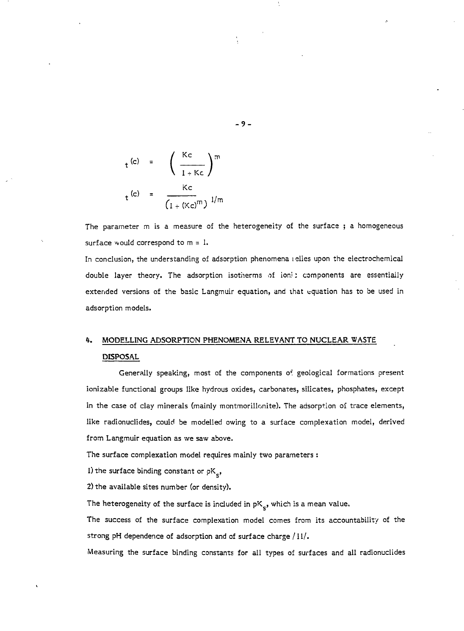$$
t^{(c)} = \left(\frac{Kc}{1+Kc}\right)^{m}
$$
  

$$
t^{(c)} = \frac{Kc}{(1+(Kc)^{m})^{1/m}}
$$

The parameter m is a measure of the heterogeneity of the surface ; a homogeneous surface would correspond to  $m = 1$ .

In conclusion, the understanding of adsorption phenomena i elies upon the electrochemical double layer theory. The adsorption isotherms of ion! : components are essentially extended versions of the basic Langmuir equation, and that equation has to be used in adsorption models.

## **4. MODELLING ADSORPTION PHENOMENA RELEVANT TO NUCLEAR WASTE DISPOSAL**

Generally speaking, most of the components of geological formations present ionizable functional groups like hydrous oxides, carbonates, silicates, phosphates, except in the case of clay minerals (mainly montmorillonite). The adsorption of trace elements, like radionuclides, could be modelled owing to a surface complexation model, derived from Langmuir equation as we saw above.

The surface complexation model requires mainly two parameters :

I) the surface binding constant or  $pK_{\rm c}$ ,

2) the available sites number (or density).

The heterogeneity of the surface is included in  $pK_{e}$ , which is a mean value.

The success of the surface complexation model comes from its accountability of the strong pH dependence of adsorption and of surface charge /11/.

Measuring the surface binding constants for all types of surfaces and all radionuclides

**- 9 -**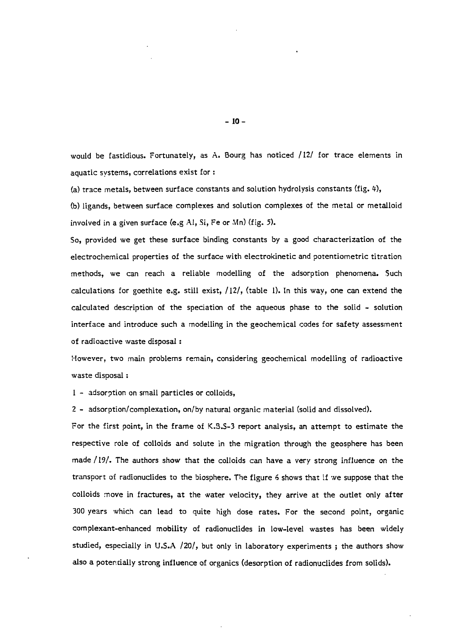would be fastidious. Fortunately, as A. Bourg has noticed /12/ for trace elements in aquatic systems, correlations exist for :

(a) trace metals, between surface constants and solution hydrolysis constants (fig. 4),

(b) ligands, between surface complexes and solution complexes of the metal or metalloid involved in a given surface (e.g Al, Si, Fe or Mn) (fig. 5).

So, provided we get these surface binding constants by a good characterization of the electrochemical properties of the surface with electrokinetic and potentiometric titration methods, we can reach a reliable modelling of the adsorption phenomena. Such calculations for goethite e.g. still exist,  $/12/$ , (table 1). In this way, one can extend the calculated description of the speciation of the aqueous phase to the solid - solution interface and introduce such a modelling in the geochemical codes for safety assessment of radioactive waste disposal :

However, two main problems remain, considering geochemical modelling of radioactive waste disposal :

1 - adsorption on small particles or colloids,

2 - adsorption/complexation, on/by natural organic material (solid and dissolved).

For the first point, in the frame of K.3.S-3 report analysis, an attempt to estimate the respective role of colloids and solute in the migration through the geosphere has been made /19/. The authors show that the colloids can have a very strong influence on the transport of radionuclides to the biosphere. The figure 6 shows that if we suppose that the colloids move in fractures, at the water velocity, they arrive at the outlet only after 300 years which can lead to quite high dose rates. For the second point, organic complexant-enhanced mobility of radionuclides in low-level wastes has been widely studied, especially in U.S.A /20/, but only in laboratory experiments ; the authors show also a potentially strong influence of organics (desorption of radionuclides from solids).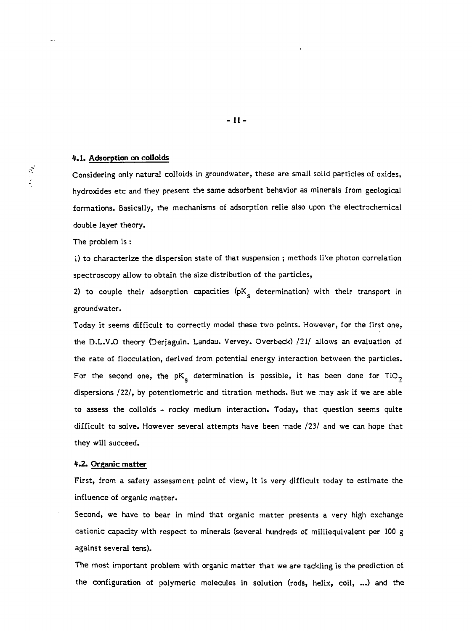#### **4.1. Adsorption on colloids**

Considering only natural colloids in groundwater, these are small solid particles of oxides, hydroxides etc and they present the same adsorbent behavior as minerals from geological formations. Basically, the mechanisms of adsorption relie also upon the electrochemical double layer theory.

The problem is :

1) to characterize the dispersion state of that suspension ; methods li've photon correlation spectroscopy allow to obtain the size distribution of the particles,

2) to couple their adsorption capacities  $(pK_{\rm g}$  determination) with their transport in groundwater.

Today it seems difficult to correctly model these two points. However, for the first one, the D.L.V.O theory (Derjaguin. Landau. Vervey. Overbeck) /21/ allows an evaluation of the rate of flocculation, derived from potential energy interaction between the particles. For the second one, the pK<sub>s</sub> determination is possible, it has been done for TiO<sub>2</sub> dispersions /22/, by potentiometric and titration methods. But we may ask if we are able to assess the colloids - rocky medium interaction. Today, that question seems quite difficult to solve. However several attempts have been made /23/ and we can hope that they will succeed.

#### **4.2. Organic matter**

First, from a safety assessment point of view, it is very difficult today to estimate the influence of organic matter.

Second, we have to bear in mind that organic matter presents a very high exchange cationic capacity with respect to minerals (several hundreds of milliequivalent per 100 g against several tens).

The most important problem with organic matter that we are tackling is the prediction of the configuration of polymeric molecules in solution (rods, helix, coil, ...) and the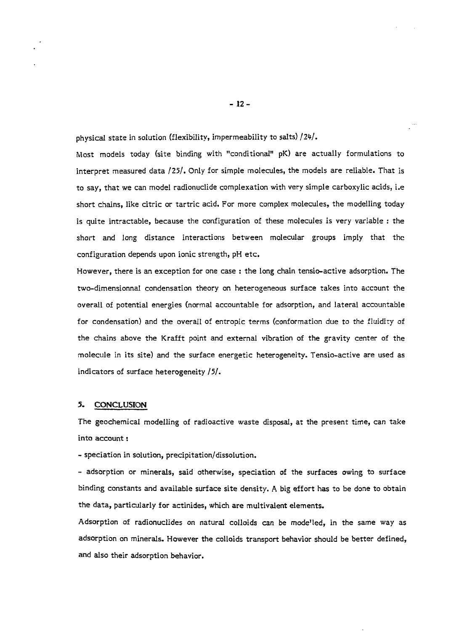physical state in solution (flexibility, impermeability to salts) /24/.

Most models today (site binding with "conditional" pK) are actually formulations to interpret measured data /25/. Only for simple molecules, the models are reliable. That is to say, that we can model radionuclide complexation with very simple carboxylic acids, i.e short chains, like citric or tartric acid. For more complex molecules, the modelling today is quite intractable, because the configuration of these molecules is very variable : the short and long distance interactions between molecular groups imply that the configuration depends upon ionic strength, pH etc.

However, there is an exception for one case : the long chain tensio-active adsorption. The two-dimensionnal condensation theory on heterogeneous surface takes into account the overall of potential energies (normal accountable for adsorption, and lateral accountable for condensation) and the overall of entropie terms (conformation due to the fluidity of the chains above the Krafft point and external vibration of the gravity center of the molecule in its site) and the surface energetic heterogeneity. Tensio-active are used as indicators of surface heterogeneity /5/.

#### 5. CONCLUSION

The geochemical modelling of radioactive waste disposal, at the present time, can take into account :

- speciation in solution, precipitation/dissolution.

- adsorption or minerals, said otherwise, speciation of the surfaces owing to surface binding constants and available surface site density. A big effort has to be done to obtain the data, particularly for actinides, which are multivalent elements.

Adsorption of radionuclides on natural colloids can be mode'led, in the same way as adsorption on minerals. However the colloids transport behavior should be better defined, and also their adsorption behavior.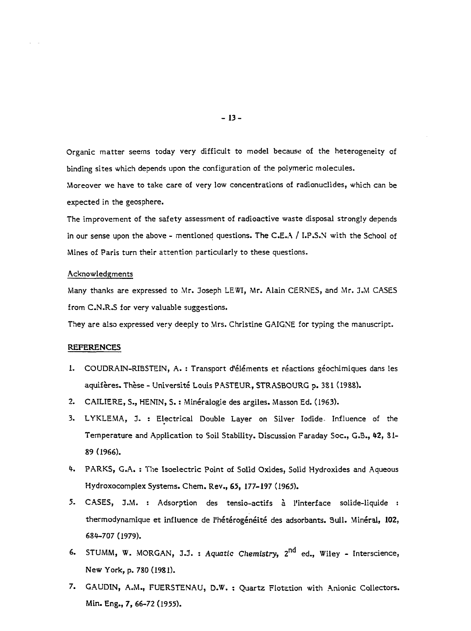Organic matter seems today very difficult to model because of the heterogeneity of binding sites which depends upon the configuration of the polymeric molecules. Moreover we have to take care of very low concentrations of radionudides, which can be expected in the geosphere.

The improvement of the safety assessment of radioactive waste disposal strongly depends in our sense upon the above - mentioned questions. The C.E.A / I.P.S.N with the School of Mines of Paris turn their attention particularly to these questions.

#### Acknowledgments

Many thanks are expressed to Mr. Joseph LEWI, Mr. Alain CERNES, and Mr. J.M CASES from C.N.R.S for very valuable suggestions.

They are also expressed very deeply to Mrs. Christine GAIGNE for typing the manuscript.

#### **REFERENCES**

- 1. COUDRAIN-RIBSTEIN, A. : Transport d'éléments et réactions géochimiques dans les aquifères. Thèse - Université Louis PASTEUR, STRASBOURG p. 3Sl (1988).
- 2. CAILIERE, S., HENIN, S. : Minéralogie des argiles. Masson Ed. (1963).
- 3. LYKLEMA, J. : Electrical Double Layer on Silver Iodide. Influence of the Temperature and Application to Soil Stability. Discussion Faraday Soc., G.B., 42, 81-89 (1966).
- 4. PARKS, G.A. : The Isoelectric Point of Solid Oxides, Solid Hydroxides and Aqueous Hydroxocomplex Systems. Chem. Rev., 65, 177-197 (1965).
- 5. CASES, J.M. : Adsorption des tensio-actifs à l'interface solide-liquide : thermodynamique et influence de l'hétérogénéité des adsorbants. SuIl. Minéral, **102,** 684-707 (1979).
- 6. STUMM, W. MORGAN, J.J. : *Aquatic Chemistry*, 2<sup>nd</sup> ed., Wiley Interscience, New York, p. 780(1981).
- 7. GAUDIN, A.M., FUERSTENAU, D.W. : Quartz Flotation with Anionic Collectors. Min. Eng., 7, 66-72 (1955).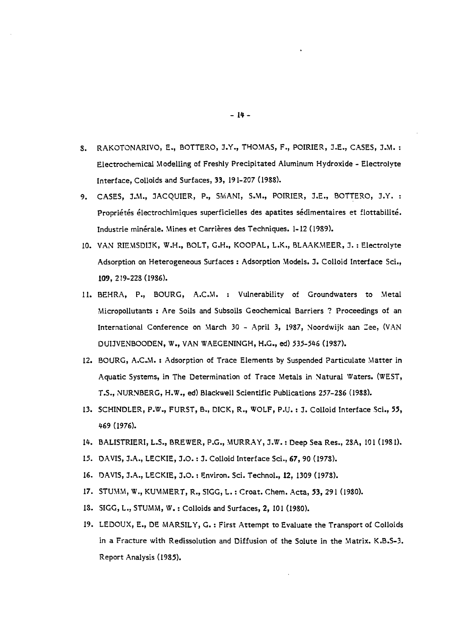- S. RAKOTONARIVO, E., BOTTERO, J.Y., THOMAS, F., POIRIER, J.E., CASES, J.M. : Electrochemical Modelling of Freshly Precipitated Aluminum Hydroxide - Electrolyte Interface, Colloids and Surfaces, 33, 191-207 (1988).
- 9. CASES, J.M., JACQUIER, P., SViANI, S.M., POIRIER, *I.E.,* BOTTERO, J.Y. : Propriétés électrochimiques superficielles des apatites sédimentaires et flottabilité. Industrie minérale. Mines et Carrières des Techniques. 1-12 (1989).
- 10. VAN RIEMSDIJK, W.H., BOLT, G.H., KOOPAL, L.K., BLAAKMEER, J. : Electrolyte Adsorption on Heterogeneous Surfaces : Adsorption Models. J. Colloid Interface Sci., **109,** 2 !9-228(1986).
- 11. BEHRA, P., BOURG, A.C.M. : Vulnerability of Groundwaters to Metal Micropollutants : Are Soils and Subsoils Geochemical Barriers ? Proceedings of an International Conference on March 30 - April 3, 1987, Noordwijk aan Zee, (VAN DUIJVENBOODEN, W., VAN WAEGENINGH, H.G., ed) 535-546 (1987).
- 12. BOURG, A.C.M. : Adsorption of Trace Elements by Suspended Particulate Matter in Aquatic Systems, in The Determination of Trace Metals in Natural Waters. (WEST, T.S., NURNBERG, H.W., ed) Blackwell Scientific Publications 257-286 (1988).
- 13. SCHINDLER, P.W., FURST, B., DICK, R., WOLF, P.U. : J. Colloid Interface Sci., 55, 469 (1976).
- 1\*. BALISTRIERI, L.S., BREWER, P.G., MURRAY, J-W. : Deep Sea Res., 28A, 101 (1981).
- 15. DAVIS, J.A., LECKIE, J.O. : J. Colloid Interface Sci., 67, 90 (1978).
- 16. DAVIS, 3.A., LECKIE, J.O. : Environ. Sci. Technol., 12, 1309 (1978).
- 17. STUMM, W., KUMMERT, R., SIGG, L. : Croat. Chem. Acta, 53, 291 (1980).
- IS. SIGG, L., STUMM, W. : Colloids and Surfaces, 2, 101 (1980).
- 19. LEDOUX, E., DE MARSILY, G. : First Attempt to Evaluate the Transport of Colloids in a Fracture with Redissolution and Diffusion of the Solute in the Matrix. K.B.S-3. Report Analysis (1985).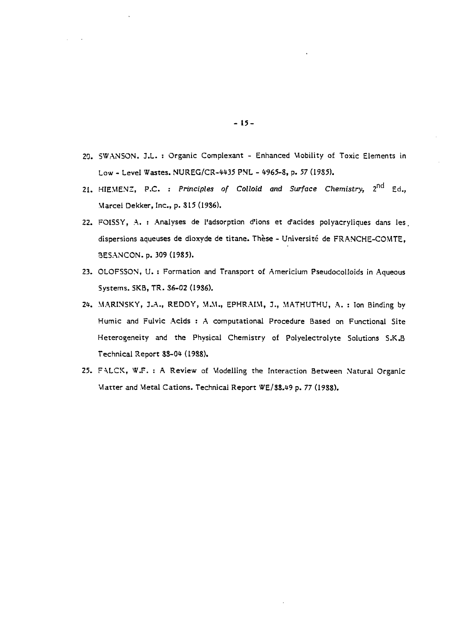- 20. SWANSON. J.L. : Organic Complexant Enhanced Mobility of Toxic Elements in Low - Level Wastes. NUREG/CR-W35 PNL - 4965-8, p. *57* (19S5).
- 21. HIEMENZ, P.C. : Principles of Colloid and Surface Chemistry, 2<sup>nd</sup> Ed., Marcel Dekker, Inc., p. S15 (19S6).
- 22. FOISSY, A. : Analyses de l'adsorption d'ions et d'acides polyacryliques dans les. dispersions aqueuses de dioxyde de titane. Thèse - Université de FRANCHE-COMTE, BESANCON, p. 309 (1985).
- 23. OLOFSSON, U. : Formation and Transport of Americium Pseudocolloids in Aqueous Systems. SKB, TR. 36-02 (19S6).
- *2k.* MARINSKY, 3.A., REDDY, M.M., EPHRAIM, *1.,* MATHUTHU, A. : Ion Binding by Humic and Fulvic Acids : A computational Procedure Based on Functional Site Heterogeneity and the Physical Chemistry of Polyelectrolyte Solutions S.K.B Technical Report SS-O\* (1988).
- 25. FALCK, W.F. : A Review of Modelling the Interaction Between Natural Organic Matter and Metal Cations. Technical Report WE/S8.49 p. 77 (1988).

- 15-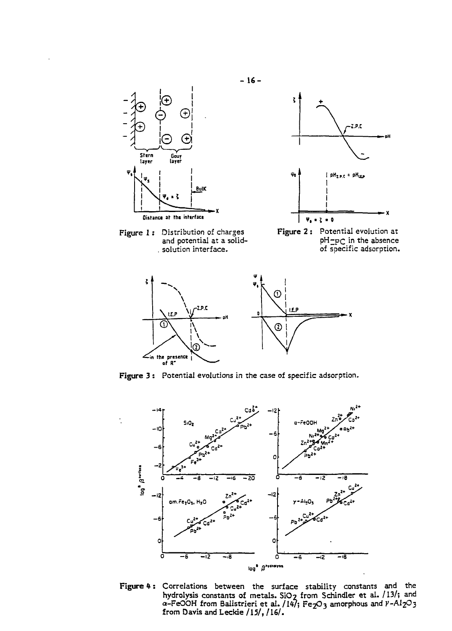



**Figure 3** : Potential evolutions in the case of specific adsorption.



Figure 4: Correlations between the surface stability constants and the **hydrolysis constants of metals. S1O2 from Schindler et al. /13/; and a-FeOOH from Balistrieri et al. /1\*/; Fe2C>3 amorphous and V-AI2O3 from Davis and Leckie /15/, /16/.**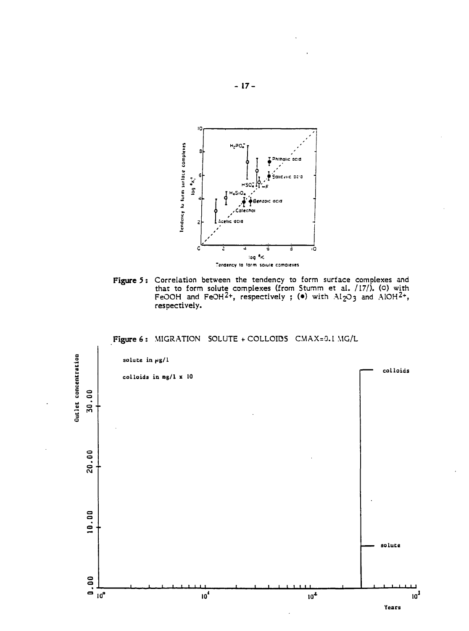

**Figure** 5 : Correlation between the tendency to form surface complexes and that to form solute complexes (from Stumm et al. /17/). (o) with FeOOH and FeOH<sup>2+</sup>, respectively ; ( $\bullet$ ) with  $\mathrm{Al}_2$ O3 and  $\mathrm{AlOH^{2+}}$ , respectively.

### Figure 6 : MIGRATION SOLUTE + COLLOIDS CMAX=O.! MG/L